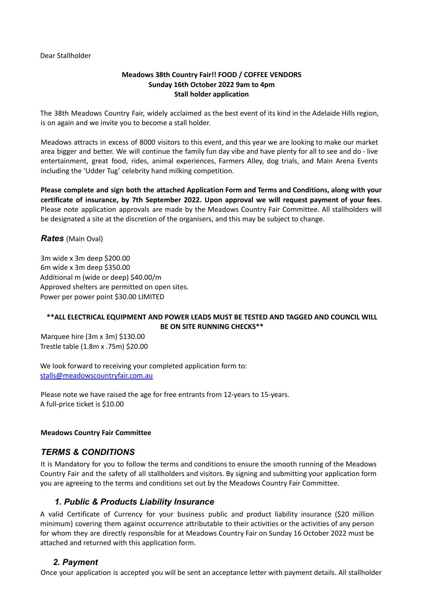#### Dear Stallholder

#### **Meadows 38th Country Fair!! FOOD / COFFEE VENDORS Sunday 16th October 2022 9am to 4pm Stall holder application**

The 38th Meadows Country Fair, widely acclaimed as the best event of its kind in the Adelaide Hills region, is on again and we invite you to become a stall holder.

Meadows attracts in excess of 8000 visitors to this event, and this year we are looking to make our market area bigger and better. We will continue the family fun day vibe and have plenty for all to see and do - live entertainment, great food, rides, animal experiences, Farmers Alley, dog trials, and Main Arena Events including the 'Udder Tug' celebrity hand milking competition.

**Please complete and sign both the attached Application Form and Terms and Conditions, along with your certificate of insurance, by 7th September 2022. Upon approval we will request payment of your fees**. Please note application approvals are made by the Meadows Country Fair Committee. All stallholders will be designated a site at the discretion of the organisers, and this may be subject to change.

*Rates* (Main Oval)

3m wide x 3m deep \$200.00 6m wide x 3m deep \$350.00 Additional m (wide or deep) \$40.00/m Approved shelters are permitted on open sites. Power per power point \$30.00 LIMITED

### **\*\*ALL ELECTRICAL EQUIPMENT AND POWER LEADS MUST BE TESTED AND TAGGED AND COUNCIL WILL BE ON SITE RUNNING CHECKS\*\***

Marquee hire (3m x 3m) \$130.00 Trestle table (1.8m x .75m) \$20.00

We look forward to receiving your completed application form to: stalls@meadowscountryfair.com.au

Please note we have raised the age for free entrants from 12-years to 15-years. A full-price ticket is \$10.00

#### **Meadows Country Fair Committee**

## *TERMS & CONDITIONS*

It is Mandatory for you to follow the terms and conditions to ensure the smooth running of the Meadows Country Fair and the safety of all stallholders and visitors. By signing and submitting your application form you are agreeing to the terms and conditions set out by the Meadows Country Fair Committee.

## *1. Public & Products Liability Insurance*

A valid Certificate of Currency for your business public and product liability insurance (\$20 million minimum) covering them against occurrence attributable to their activities or the activities of any person for whom they are directly responsible for at Meadows Country Fair on Sunday 16 October 2022 must be attached and returned with this application form.

## *2. Payment*

Once your application is accepted you will be sent an acceptance letter with payment details. All stallholder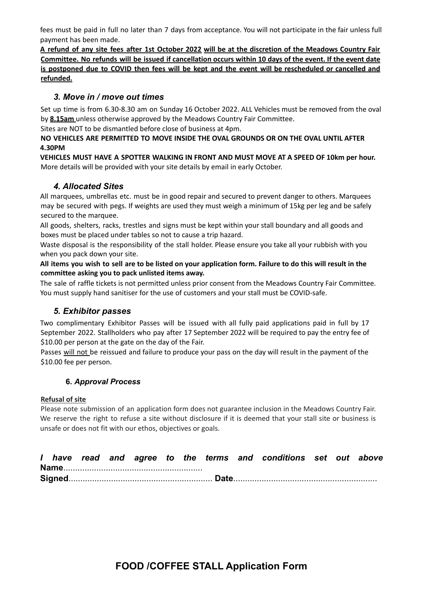fees must be paid in full no later than 7 days from acceptance. You will not participate in the fair unless full payment has been made.

A refund of any site fees after 1st October 2022 will be at the discretion of the Meadows Country Fair Committee. No refunds will be issued if cancellation occurs within 10 days of the event. If the event date is postponed due to COVID then fees will be kept and the event will be rescheduled or cancelled and **refunded.**

## *3. Move in / move out times*

Set up time is from 6.30-8.30 am on Sunday 16 October 2022. ALL Vehicles must be removed from the oval by **8.15am** unless otherwise approved by the Meadows Country Fair Committee.

Sites are NOT to be dismantled before close of business at 4pm.

#### **NO VEHICLES ARE PERMITTED TO MOVE INSIDE THE OVAL GROUNDS OR ON THE OVAL UNTIL AFTER 4.30PM**

**VEHICLES MUST HAVE A SPOTTER WALKING IN FRONT AND MUST MOVE AT A SPEED OF 10km per hour.** More details will be provided with your site details by email in early October.

### *4. Allocated Sites*

All marquees, umbrellas etc. must be in good repair and secured to prevent danger to others. Marquees may be secured with pegs. If weights are used they must weigh a minimum of 15kg per leg and be safely secured to the marquee.

All goods, shelters, racks, trestles and signs must be kept within your stall boundary and all goods and boxes must be placed under tables so not to cause a trip hazard.

Waste disposal is the responsibility of the stall holder. Please ensure you take all your rubbish with you when you pack down your site.

All items you wish to sell are to be listed on your application form. Failure to do this will result in the **committee asking you to pack unlisted items away.**

The sale of raffle tickets is not permitted unless prior consent from the Meadows Country Fair Committee. You must supply hand sanitiser for the use of customers and your stall must be COVID-safe.

#### *5. Exhibitor passes*

Two complimentary Exhibitor Passes will be issued with all fully paid applications paid in full by 17 September 2022. Stallholders who pay after 17 September 2022 will be required to pay the entry fee of \$10.00 per person at the gate on the day of the Fair.

Passes will not be reissued and failure to produce your pass on the day will result in the payment of the \$10.00 fee per person.

#### **6.** *Approval Process*

#### **Refusal of site**

Please note submission of an application form does not guarantee inclusion in the Meadows Country Fair. We reserve the right to refuse a site without disclosure if it is deemed that your stall site or business is unsafe or does not fit with our ethos, objectives or goals.

|  |  |  |  |  |  |  |  |  | I have read and agree to the terms and conditions set out above |  |  |
|--|--|--|--|--|--|--|--|--|-----------------------------------------------------------------|--|--|
|  |  |  |  |  |  |  |  |  |                                                                 |  |  |
|  |  |  |  |  |  |  |  |  |                                                                 |  |  |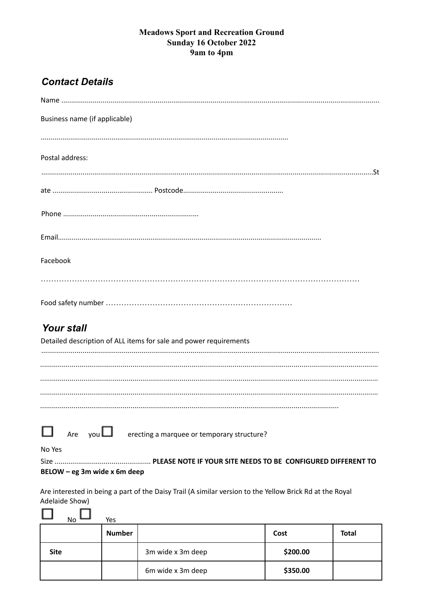## **Meadows Sport and Recreation Ground Sunday 16 October 2022** 9am to 4pm

# **Contact Details**

| Business name (if applicable)                                     |
|-------------------------------------------------------------------|
|                                                                   |
| Postal address:<br>St                                             |
|                                                                   |
|                                                                   |
|                                                                   |
| Facebook                                                          |
|                                                                   |
|                                                                   |
| <b>Your stall</b>                                                 |
| Detailed description of ALL items for sale and power requirements |
|                                                                   |
|                                                                   |
|                                                                   |
|                                                                   |
| Are you $\Box$<br>erecting a marquee or temporary structure?      |
| No Yes                                                            |
| BELOW - eg 3m wide x 6m deep                                      |

Are interested in being a part of the Daisy Trail (A similar version to the Yellow Brick Rd at the Royal Adelaide Show)

| <b>No</b>   | Yes           |                   |          |              |
|-------------|---------------|-------------------|----------|--------------|
|             | <b>Number</b> |                   | Cost     | <b>Total</b> |
| <b>Site</b> |               | 3m wide x 3m deep | \$200.00 |              |
|             |               | 6m wide x 3m deep | \$350.00 |              |